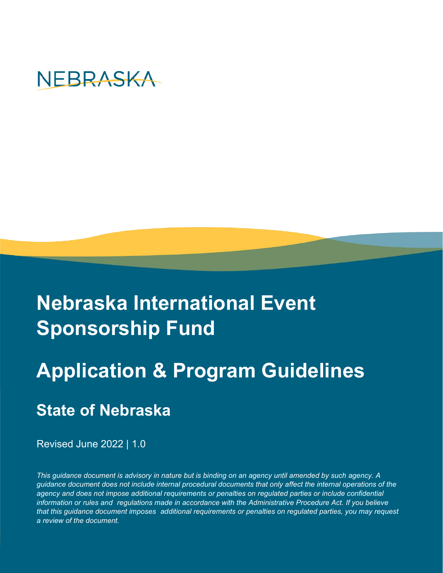

# **Nebraska International Event Sponsorship Fund**

# **Application & Program Guidelines**

## **State of Nebraska**

Revised June 2022 | 1.0

*This guidance document is advisory in nature but is binding on an agency until amended by such agency. A guidance document does not include internal procedural documents that only affect the internal operations of the agency and does not impose additional requirements or penalties on regulated parties or include confidential information or rules and regulations made in accordance with the Administrative Procedure Act. If you believe that this guidance document imposes additional requirements or penalties on regulated parties, you may request a review of the document.*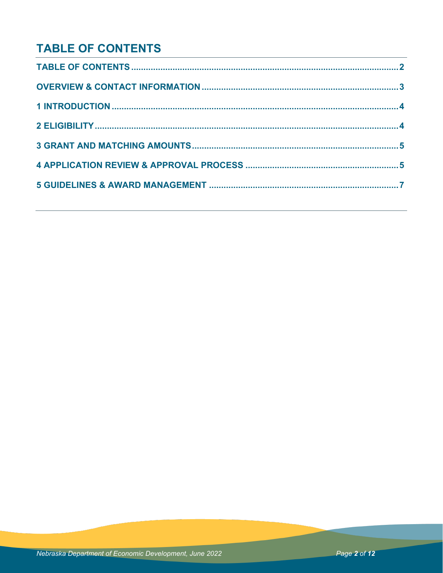## **TABLE OF CONTENTS**

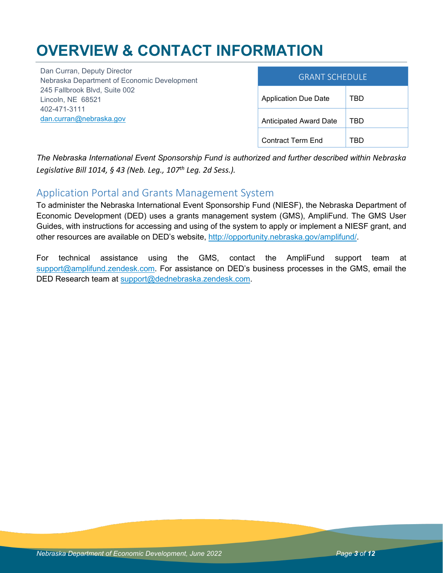## **OVERVIEW & CONTACT INFORMATION**

Dan Curran, Deputy Director Nebraska Department of Economic Development 245 Fallbrook Blvd, Suite 002 Lincoln, NE 68521 402-471-3111 [dan.curran@nebraska.gov](mailto:dan.curran@nebraska.gov)

| <b>GRANT SCHEDULE</b>         |     |
|-------------------------------|-----|
| <b>Application Due Date</b>   | TBD |
| <b>Anticipated Award Date</b> | TBD |
| Contract Term End             |     |

*The Nebraska International Event Sponsorship Fund is authorized and further described within Nebraska Legislative Bill 1014, § 43 (Neb. Leg., 107th Leg. 2d Sess.).*

### Application Portal and Grants Management System

To administer the Nebraska International Event Sponsorship Fund (NIESF), the Nebraska Department of Economic Development (DED) uses a grants management system (GMS), AmpliFund. The GMS User Guides, with instructions for accessing and using of the system to apply or implement a NIESF grant, and other resources are available on DED's website, [http://opportunity.nebraska.gov/amplifund/.](http://opportunity.nebraska.gov/amplifund/)

For technical assistance using the GMS, contact the AmpliFund support team at [support@amplifund.zendesk.com.](mailto:support@amplifund.zendesk.com) For assistance on DED's business processes in the GMS, email the DED Research team at [support@dednebraska.zendesk.com.](mailto:support@dednebraska.zendesk.com)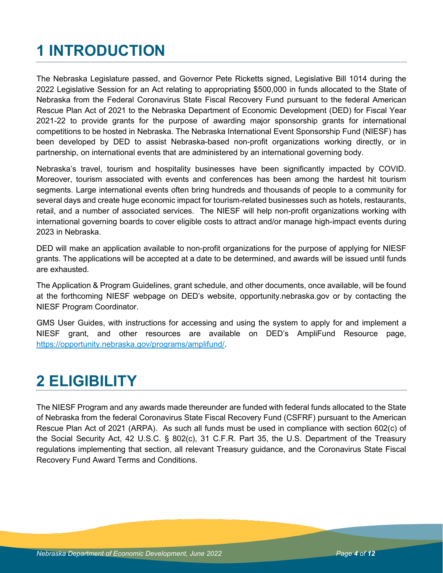## **1 INTRODUCTION**

The Nebraska Legislature passed, and Governor Pete Ricketts signed, Legislative Bill 1014 during the 2022 Legislative Session for an Act relating to appropriating \$500,000 in funds allocated to the State of Nebraska from the Federal Coronavirus State Fiscal Recovery Fund pursuant to the federal American Rescue Plan Act of 2021 to the Nebraska Department of Economic Development (DED) for Fiscal Year 2021-22 to provide grants for the purpose of awarding major sponsorship grants for international competitions to be hosted in Nebraska. The Nebraska International Event Sponsorship Fund (NIESF) has been developed by DED to assist Nebraska-based non-profit organizations working directly, or in partnership, on international events that are administered by an international governing body.

Nebraska's travel, tourism and hospitality businesses have been significantly impacted by COVID. Moreover, tourism associated with events and conferences has been among the hardest hit tourism segments. Large international events often bring hundreds and thousands of people to a community for several days and create huge economic impact for tourism-related businesses such as hotels, restaurants, retail, and a number of associated services. The NIESF will help non-profit organizations working with international governing boards to cover eligible costs to attract and/or manage high-impact events during 2023 in Nebraska.

DED will make an application available to non-profit organizations for the purpose of applying for NIESF grants. The applications will be accepted at a date to be determined, and awards will be issued until funds are exhausted.

The Application & Program Guidelines, grant schedule, and other documents, once available, will be found at the forthcoming NIESF webpage on DED's website, opportunity.nebraska.gov or by contacting the NIESF Program Coordinator.

GMS User Guides, with instructions for accessing and using the system to apply for and implement a NIESF grant, and other resources are available on DED's AmpliFund Resource page, [https://opportunity.nebraska.gov/programs/amplifund/.](https://opportunity.nebraska.gov/programs/amplifund/)

## **2 ELIGIBILITY**

The NIESF Program and any awards made thereunder are funded with federal funds allocated to the State of Nebraska from the federal Coronavirus State Fiscal Recovery Fund (CSFRF) pursuant to the American Rescue Plan Act of 2021 (ARPA). As such all funds must be used in compliance with section 602(c) of the Social Security Act, 42 U.S.C. § 802(c), 31 C.F.R. Part 35, the U.S. Department of the Treasury regulations implementing that section, all relevant Treasury guidance, and the Coronavirus State Fiscal Recovery Fund Award Terms and Conditions.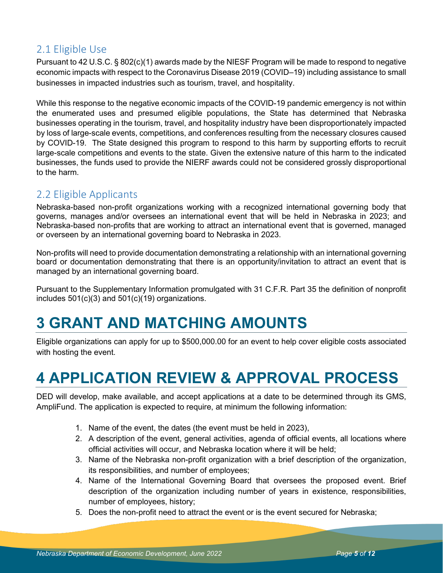## 2.1 Eligible Use

Pursuant to 42 U.S.C. § 802(c)(1) awards made by the NIESF Program will be made to respond to negative economic impacts with respect to the Coronavirus Disease 2019 (COVID–19) including assistance to small businesses in impacted industries such as tourism, travel, and hospitality.

While this response to the negative economic impacts of the COVID-19 pandemic emergency is not within the enumerated uses and presumed eligible populations, the State has determined that Nebraska businesses operating in the tourism, travel, and hospitality industry have been disproportionately impacted by loss of large-scale events, competitions, and conferences resulting from the necessary closures caused by COVID-19. The State designed this program to respond to this harm by supporting efforts to recruit large-scale competitions and events to the state. Given the extensive nature of this harm to the indicated businesses, the funds used to provide the NIERF awards could not be considered grossly disproportional to the harm.

## 2.2 Eligible Applicants

Nebraska-based non-profit organizations working with a recognized international governing body that governs, manages and/or oversees an international event that will be held in Nebraska in 2023; and Nebraska-based non-profits that are working to attract an international event that is governed, managed or overseen by an international governing board to Nebraska in 2023.

Non-profits will need to provide documentation demonstrating a relationship with an international governing board or documentation demonstrating that there is an opportunity/invitation to attract an event that is managed by an international governing board.

Pursuant to the Supplementary Information promulgated with 31 C.F.R. Part 35 the definition of nonprofit includes 501(c)(3) and 501(c)(19) organizations.

## **3 GRANT AND MATCHING AMOUNTS**

Eligible organizations can apply for up to \$500,000.00 for an event to help cover eligible costs associated with hosting the event.

## **4 APPLICATION REVIEW & APPROVAL PROCESS**

DED will develop, make available, and accept applications at a date to be determined through its GMS, AmpliFund. The application is expected to require, at minimum the following information:

- 1. Name of the event, the dates (the event must be held in 2023),
- 2. A description of the event, general activities, agenda of official events, all locations where official activities will occur, and Nebraska location where it will be held;
- 3. Name of the Nebraska non-profit organization with a brief description of the organization, its responsibilities, and number of employees;
- 4. Name of the International Governing Board that oversees the proposed event. Brief description of the organization including number of years in existence, responsibilities, number of employees, history;
- 5. Does the non-profit need to attract the event or is the event secured for Nebraska;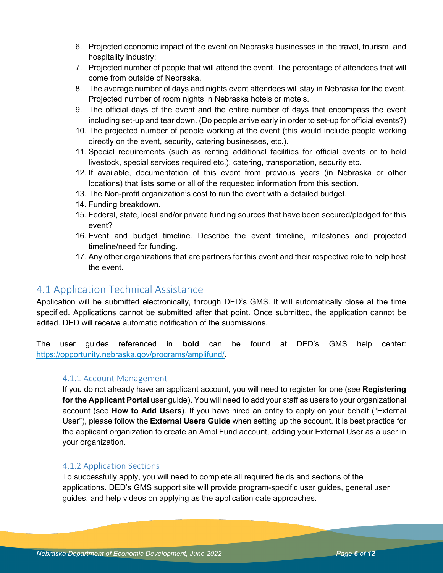- 6. Projected economic impact of the event on Nebraska businesses in the travel, tourism, and hospitality industry;
- 7. Projected number of people that will attend the event. The percentage of attendees that will come from outside of Nebraska.
- 8. The average number of days and nights event attendees will stay in Nebraska for the event. Projected number of room nights in Nebraska hotels or motels.
- 9. The official days of the event and the entire number of days that encompass the event including set-up and tear down. (Do people arrive early in order to set-up for official events?)
- 10. The projected number of people working at the event (this would include people working directly on the event, security, catering businesses, etc.).
- 11. Special requirements (such as renting additional facilities for official events or to hold livestock, special services required etc.), catering, transportation, security etc.
- 12. If available, documentation of this event from previous years (in Nebraska or other locations) that lists some or all of the requested information from this section.
- 13. The Non-profit organization's cost to run the event with a detailed budget.
- 14. Funding breakdown.
- 15. Federal, state, local and/or private funding sources that have been secured/pledged for this event?
- 16. Event and budget timeline. Describe the event timeline, milestones and projected timeline/need for funding.
- 17. Any other organizations that are partners for this event and their respective role to help host the event.

### 4.1 Application Technical Assistance

Application will be submitted electronically, through DED's GMS. It will automatically close at the time specified. Applications cannot be submitted after that point. Once submitted, the application cannot be edited. DED will receive automatic notification of the submissions.

The user guides referenced in **bold** can be found at DED's GMS help center: [https://opportunity.nebraska.gov/programs/amplifund/.](https://opportunity.nebraska.gov/programs/amplifund/)

#### 4.1.1 Account Management

If you do not already have an applicant account, you will need to register for one (see **Registering for the Applicant Portal** user guide). You will need to add your staff as users to your organizational account (see **How to Add Users**). If you have hired an entity to apply on your behalf ("External User"), please follow the **External Users Guide** when setting up the account. It is best practice for the applicant organization to create an AmpliFund account, adding your External User as a user in your organization.

#### 4.1.2 Application Sections

To successfully apply, you will need to complete all required fields and sections of the applications. DED's GMS support site will provide program-specific user guides, general user guides, and help videos on applying as the application date approaches.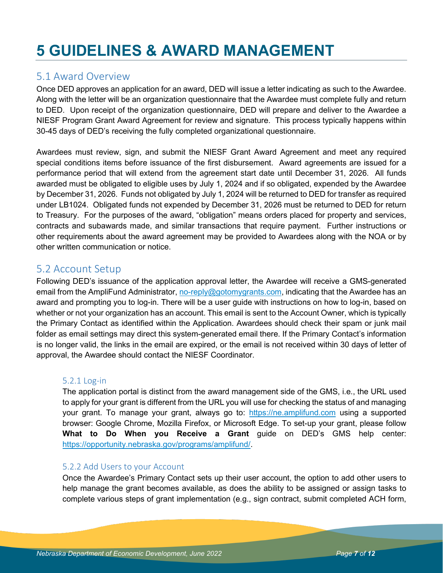## **5 GUIDELINES & AWARD MANAGEMENT**

### 5.1 Award Overview

Once DED approves an application for an award, DED will issue a letter indicating as such to the Awardee. Along with the letter will be an organization questionnaire that the Awardee must complete fully and return to DED. Upon receipt of the organization questionnaire, DED will prepare and deliver to the Awardee a NIESF Program Grant Award Agreement for review and signature. This process typically happens within 30-45 days of DED's receiving the fully completed organizational questionnaire.

Awardees must review, sign, and submit the NIESF Grant Award Agreement and meet any required special conditions items before issuance of the first disbursement. Award agreements are issued for a performance period that will extend from the agreement start date until December 31, 2026. All funds awarded must be obligated to eligible uses by July 1, 2024 and if so obligated, expended by the Awardee by December 31, 2026. Funds not obligated by July 1, 2024 will be returned to DED for transfer as required under LB1024. Obligated funds not expended by December 31, 2026 must be returned to DED for return to Treasury. For the purposes of the award, "obligation" means orders placed for property and services, contracts and subawards made, and similar transactions that require payment. Further instructions or other requirements about the award agreement may be provided to Awardees along with the NOA or by other written communication or notice.

### 5.2 Account Setup

Following DED's issuance of the application approval letter, the Awardee will receive a GMS-generated email from the AmpliFund Administrator[, no-reply@gotomygrants.com,](mailto:no-reply@gotomygrants.com) indicating that the Awardee has an award and prompting you to log-in. There will be a user guide with instructions on how to log-in, based on whether or not your organization has an account. This email is sent to the Account Owner, which is typically the Primary Contact as identified within the Application. Awardees should check their spam or junk mail folder as email settings may direct this system-generated email there. If the Primary Contact's information is no longer valid, the links in the email are expired, or the email is not received within 30 days of letter of approval, the Awardee should contact the NIESF Coordinator.

#### 5.2.1 Log-in

The application portal is distinct from the award management side of the GMS, i.e., the URL used to apply for your grant is different from the URL you will use for checking the status of and managing your grant. To manage your grant, always go to: [https://ne.amplifund.com](https://ne.amplifund.com/) using a supported browser: Google Chrome, Mozilla Firefox, or Microsoft Edge. To set-up your grant, please follow **What to Do When you Receive a Grant** guide on DED's GMS help center: [https://opportunity.nebraska.gov/programs/amplifund/.](https://opportunity.nebraska.gov/programs/amplifund/)

#### 5.2.2 Add Users to your Account

Once the Awardee's Primary Contact sets up their user account, the option to add other users to help manage the grant becomes available, as does the ability to be assigned or assign tasks to complete various steps of grant implementation (e.g., sign contract, submit completed ACH form,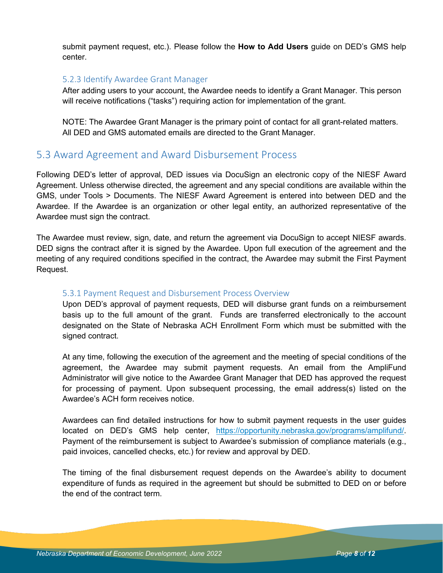submit payment request, etc.). Please follow the **How to Add Users** guide on DED's GMS help center.

#### 5.2.3 Identify Awardee Grant Manager

After adding users to your account, the Awardee needs to identify a Grant Manager. This person will receive notifications ("tasks") requiring action for implementation of the grant.

NOTE: The Awardee Grant Manager is the primary point of contact for all grant-related matters. All DED and GMS automated emails are directed to the Grant Manager.

### 5.3 Award Agreement and Award Disbursement Process

Following DED's letter of approval, DED issues via DocuSign an electronic copy of the NIESF Award Agreement. Unless otherwise directed, the agreement and any special conditions are available within the GMS, under Tools > Documents. The NIESF Award Agreement is entered into between DED and the Awardee. If the Awardee is an organization or other legal entity, an authorized representative of the Awardee must sign the contract.

The Awardee must review, sign, date, and return the agreement via DocuSign to accept NIESF awards. DED signs the contract after it is signed by the Awardee. Upon full execution of the agreement and the meeting of any required conditions specified in the contract, the Awardee may submit the First Payment Request.

#### 5.3.1 Payment Request and Disbursement Process Overview

Upon DED's approval of payment requests, DED will disburse grant funds on a reimbursement basis up to the full amount of the grant. Funds are transferred electronically to the account designated on the State of Nebraska ACH Enrollment Form which must be submitted with the signed contract.

At any time, following the execution of the agreement and the meeting of special conditions of the agreement, the Awardee may submit payment requests. An email from the AmpliFund Administrator will give notice to the Awardee Grant Manager that DED has approved the request for processing of payment. Upon subsequent processing, the email address(s) listed on the Awardee's ACH form receives notice.

Awardees can find detailed instructions for how to submit payment requests in the user guides located on DED's GMS help center, [https://opportunity.nebraska.gov/programs/amplifund/.](https://opportunity.nebraska.gov/programs/amplifund/) Payment of the reimbursement is subject to Awardee's submission of compliance materials (e.g., paid invoices, cancelled checks, etc.) for review and approval by DED.

The timing of the final disbursement request depends on the Awardee's ability to document expenditure of funds as required in the agreement but should be submitted to DED on or before the end of the contract term.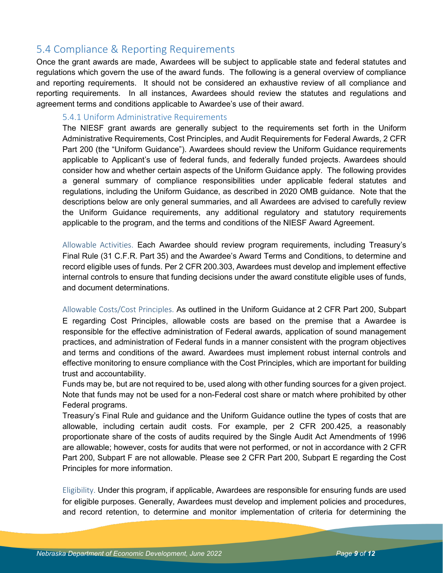### 5.4 Compliance & Reporting Requirements

Once the grant awards are made, Awardees will be subject to applicable state and federal statutes and regulations which govern the use of the award funds. The following is a general overview of compliance and reporting requirements. It should not be considered an exhaustive review of all compliance and reporting requirements. In all instances, Awardees should review the statutes and regulations and agreement terms and conditions applicable to Awardee's use of their award.

#### 5.4.1 Uniform Administrative Requirements

The NIESF grant awards are generally subject to the requirements set forth in the Uniform Administrative Requirements, Cost Principles, and Audit Requirements for Federal Awards, 2 CFR Part 200 (the "Uniform Guidance"). Awardees should review the Uniform Guidance requirements applicable to Applicant's use of federal funds, and federally funded projects. Awardees should consider how and whether certain aspects of the Uniform Guidance apply. The following provides a general summary of compliance responsibilities under applicable federal statutes and regulations, including the Uniform Guidance, as described in 2020 OMB guidance. Note that the descriptions below are only general summaries, and all Awardees are advised to carefully review the Uniform Guidance requirements, any additional regulatory and statutory requirements applicable to the program, and the terms and conditions of the NIESF Award Agreement.

Allowable Activities. Each Awardee should review program requirements, including Treasury's Final Rule (31 C.F.R. Part 35) and the Awardee's Award Terms and Conditions, to determine and record eligible uses of funds. Per 2 CFR 200.303, Awardees must develop and implement effective internal controls to ensure that funding decisions under the award constitute eligible uses of funds, and document determinations.

Allowable Costs/Cost Principles. As outlined in the Uniform Guidance at 2 CFR Part 200, Subpart E regarding Cost Principles, allowable costs are based on the premise that a Awardee is responsible for the effective administration of Federal awards, application of sound management practices, and administration of Federal funds in a manner consistent with the program objectives and terms and conditions of the award. Awardees must implement robust internal controls and effective monitoring to ensure compliance with the Cost Principles, which are important for building trust and accountability.

Funds may be, but are not required to be, used along with other funding sources for a given project. Note that funds may not be used for a non-Federal cost share or match where prohibited by other Federal programs.

Treasury's Final Rule and guidance and the Uniform Guidance outline the types of costs that are allowable, including certain audit costs. For example, per 2 CFR 200.425, a reasonably proportionate share of the costs of audits required by the Single Audit Act Amendments of 1996 are allowable; however, costs for audits that were not performed, or not in accordance with 2 CFR Part 200, Subpart F are not allowable. Please see 2 CFR Part 200, Subpart E regarding the Cost Principles for more information.

Eligibility. Under this program, if applicable, Awardees are responsible for ensuring funds are used for eligible purposes. Generally, Awardees must develop and implement policies and procedures, and record retention, to determine and monitor implementation of criteria for determining the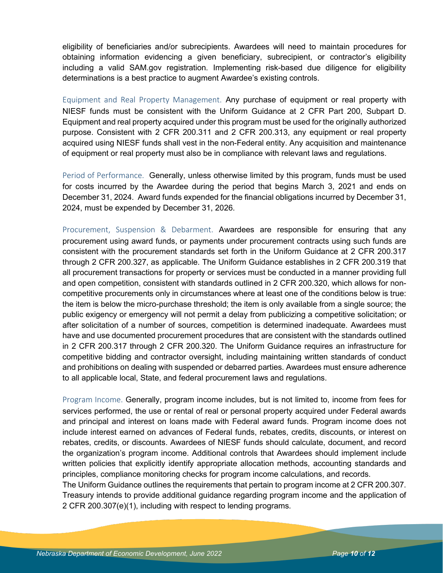eligibility of beneficiaries and/or subrecipients. Awardees will need to maintain procedures for obtaining information evidencing a given beneficiary, subrecipient, or contractor's eligibility including a valid SAM.gov registration. Implementing risk-based due diligence for eligibility determinations is a best practice to augment Awardee's existing controls.

Equipment and Real Property Management. Any purchase of equipment or real property with NIESF funds must be consistent with the Uniform Guidance at 2 CFR Part 200, Subpart D. Equipment and real property acquired under this program must be used for the originally authorized purpose. Consistent with 2 CFR 200.311 and 2 CFR 200.313, any equipment or real property acquired using NIESF funds shall vest in the non-Federal entity. Any acquisition and maintenance of equipment or real property must also be in compliance with relevant laws and regulations.

Period of Performance. Generally, unless otherwise limited by this program, funds must be used for costs incurred by the Awardee during the period that begins March 3, 2021 and ends on December 31, 2024. Award funds expended for the financial obligations incurred by December 31, 2024, must be expended by December 31, 2026.

Procurement, Suspension & Debarment. Awardees are responsible for ensuring that any procurement using award funds, or payments under procurement contracts using such funds are consistent with the procurement standards set forth in the Uniform Guidance at 2 CFR 200.317 through 2 CFR 200.327, as applicable. The Uniform Guidance establishes in 2 CFR 200.319 that all procurement transactions for property or services must be conducted in a manner providing full and open competition, consistent with standards outlined in 2 CFR 200.320, which allows for noncompetitive procurements only in circumstances where at least one of the conditions below is true: the item is below the micro-purchase threshold; the item is only available from a single source; the public exigency or emergency will not permit a delay from publicizing a competitive solicitation; or after solicitation of a number of sources, competition is determined inadequate. Awardees must have and use documented procurement procedures that are consistent with the standards outlined in 2 CFR 200.317 through 2 CFR 200.320. The Uniform Guidance requires an infrastructure for competitive bidding and contractor oversight, including maintaining written standards of conduct and prohibitions on dealing with suspended or debarred parties. Awardees must ensure adherence to all applicable local, State, and federal procurement laws and regulations.

Program Income. Generally, program income includes, but is not limited to, income from fees for services performed, the use or rental of real or personal property acquired under Federal awards and principal and interest on loans made with Federal award funds. Program income does not include interest earned on advances of Federal funds, rebates, credits, discounts, or interest on rebates, credits, or discounts. Awardees of NIESF funds should calculate, document, and record the organization's program income. Additional controls that Awardees should implement include written policies that explicitly identify appropriate allocation methods, accounting standards and principles, compliance monitoring checks for program income calculations, and records.

The Uniform Guidance outlines the requirements that pertain to program income at 2 CFR 200.307. Treasury intends to provide additional guidance regarding program income and the application of 2 CFR 200.307(e)(1), including with respect to lending programs.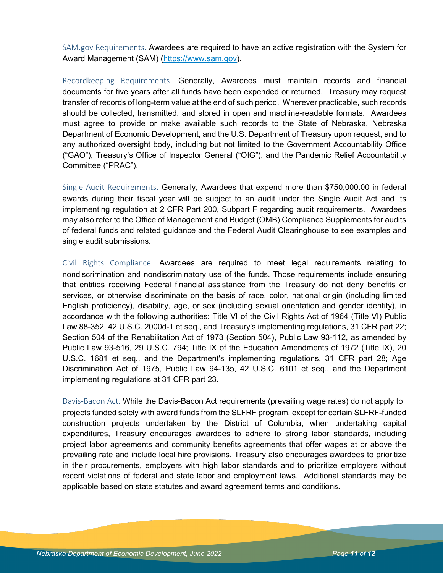SAM.gov Requirements. Awardees are required to have an active registration with the System for Award Management (SAM) [\(https://www.sam.gov\)](https://www.sam.gov/).

Recordkeeping Requirements. Generally, Awardees must maintain records and financial documents for five years after all funds have been expended or returned. Treasury may request transfer of records of long-term value at the end of such period. Wherever practicable, such records should be collected, transmitted, and stored in open and machine-readable formats. Awardees must agree to provide or make available such records to the State of Nebraska, Nebraska Department of Economic Development, and the U.S. Department of Treasury upon request, and to any authorized oversight body, including but not limited to the Government Accountability Office ("GAO"), Treasury's Office of Inspector General ("OIG"), and the Pandemic Relief Accountability Committee ("PRAC").

Single Audit Requirements. Generally, Awardees that expend more than \$750,000.00 in federal awards during their fiscal year will be subject to an audit under the Single Audit Act and its implementing regulation at 2 CFR Part 200, Subpart F regarding audit requirements. Awardees may also refer to the Office of Management and Budget (OMB) Compliance Supplements for audits of federal funds and related guidance and the Federal Audit Clearinghouse to see examples and single audit submissions.

Civil Rights Compliance. Awardees are required to meet legal requirements relating to nondiscrimination and nondiscriminatory use of the funds. Those requirements include ensuring that entities receiving Federal financial assistance from the Treasury do not deny benefits or services, or otherwise discriminate on the basis of race, color, national origin (including limited English proficiency), disability, age, or sex (including sexual orientation and gender identity), in accordance with the following authorities: Title VI of the Civil Rights Act of 1964 (Title VI) Public Law 88-352, 42 U.S.C. 2000d-1 et seq., and Treasury's implementing regulations, 31 CFR part 22; Section 504 of the Rehabilitation Act of 1973 (Section 504), Public Law 93-112, as amended by Public Law 93-516, 29 U.S.C. 794; Title IX of the Education Amendments of 1972 (Title IX), 20 U.S.C. 1681 et seq., and the Department's implementing regulations, 31 CFR part 28; Age Discrimination Act of 1975, Public Law 94-135, 42 U.S.C. 6101 et seq., and the Department implementing regulations at 31 CFR part 23.

Davis-Bacon Act. While the Davis-Bacon Act requirements (prevailing wage rates) do not apply to projects funded solely with award funds from the SLFRF program, except for certain SLFRF-funded construction projects undertaken by the District of Columbia, when undertaking capital expenditures, Treasury encourages awardees to adhere to strong labor standards, including project labor agreements and community benefits agreements that offer wages at or above the prevailing rate and include local hire provisions. Treasury also encourages awardees to prioritize in their procurements, employers with high labor standards and to prioritize employers without recent violations of federal and state labor and employment laws. Additional standards may be applicable based on state statutes and award agreement terms and conditions.